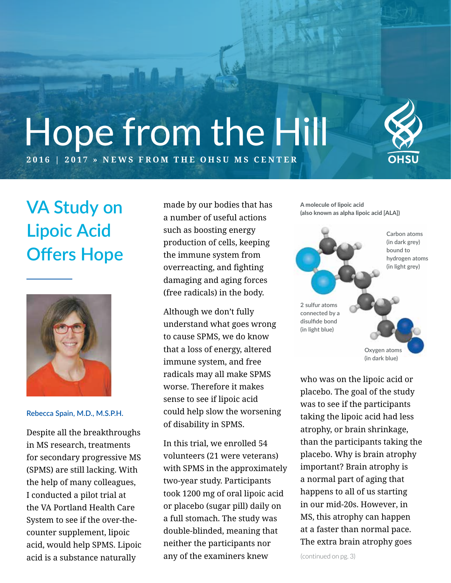# Hope from the Hill **2016 | 2017 » NEWS FROM THE OHSU MS CENTER**



## **VA Study on Lipoic Acid Offers Hope**



#### **Rebecca Spain, M.D., M.S.P.H.**

Despite all the breakthroughs in MS research, treatments for secondary progressive MS (SPMS) are still lacking. With the help of many colleagues, I conducted a pilot trial at the VA Portland Health Care System to see if the over-thecounter supplement, lipoic acid, would help SPMS. Lipoic acid is a substance naturally

made by our bodies that has a number of useful actions such as boosting energy production of cells, keeping the immune system from overreacting, and fighting damaging and aging forces (free radicals) in the body.

Although we don't fully understand what goes wrong to cause SPMS, we do know that a loss of energy, altered immune system, and free radicals may all make SPMS worse. Therefore it makes sense to see if lipoic acid could help slow the worsening of disability in SPMS.

In this trial, we enrolled 54 volunteers (21 were veterans) with SPMS in the approximately two-year study. Participants took 1200 mg of oral lipoic acid or placebo (sugar pill) daily on a full stomach. The study was double-blinded, meaning that neither the participants nor any of the examiners knew

A molecule of lipoic acid (also known as alpha lipoic acid [ALA])



who was on the lipoic acid or placebo. The goal of the study was to see if the participants taking the lipoic acid had less atrophy, or brain shrinkage, than the participants taking the placebo. Why is brain atrophy important? Brain atrophy is a normal part of aging that happens to all of us starting in our mid-20s. However, in MS, this atrophy can happen at a faster than normal pace. The extra brain atrophy goes

(continued on pg. 3)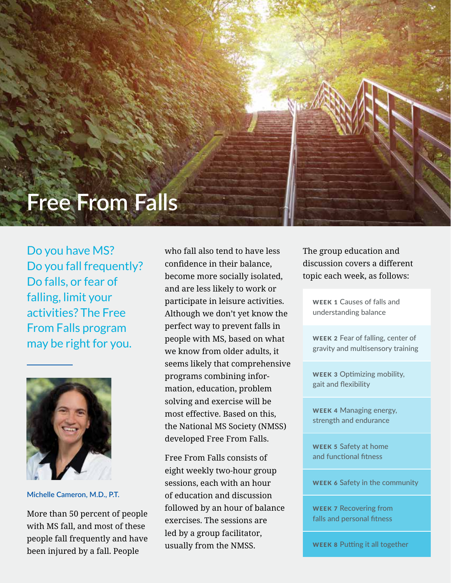# **Free From Falls**

Do you have MS? Do you fall frequently? Do falls, or fear of falling, limit your activities? The Free From Falls program may be right for you.



**Michelle Cameron, M.D., P.T.** 

More than 50 percent of people with MS fall, and most of these people fall frequently and have been injured by a fall. People

who fall also tend to have less confidence in their balance, become more socially isolated, and are less likely to work or participate in leisure activities. Although we don't yet know the perfect way to prevent falls in people with MS, based on what we know from older adults, it seems likely that comprehensive programs combining information, education, problem solving and exercise will be most effective. Based on this, the National MS Society (NMSS) developed Free From Falls.

Free From Falls consists of eight weekly two-hour group sessions, each with an hour of education and discussion followed by an hour of balance exercises. The sessions are led by a group facilitator, usually from the NMSS.

The group education and discussion covers a different topic each week, as follows:

WEEK 1 Causes of falls and understanding balance

WEEK 2 Fear of falling, center of gravity and multisensory training

WEEK 3 Optimizing mobility, gait and flexibility

WEEK 4 Managing energy, strength and endurance

WEEK 5 Safety at home and functional fitness

WEEK 6 Safety in the community

WEEK 7 Recovering from falls and personal fitness

WEEK 8 Putting it all together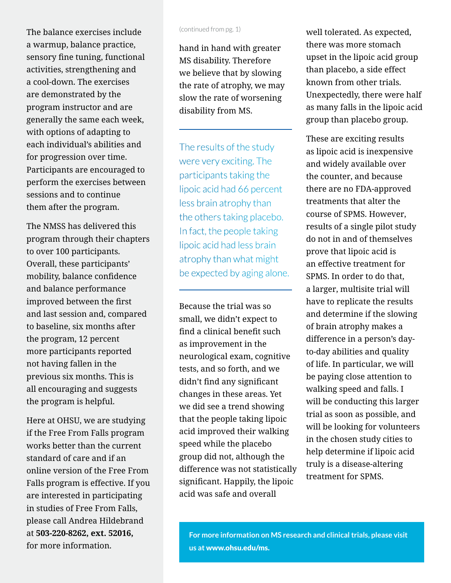The balance exercises include a warmup, balance practice, sensory fine tuning, functional activities, strengthening and a cool-down. The exercises are demonstrated by the program instructor and are generally the same each week, with options of adapting to each individual's abilities and for progression over time. Participants are encouraged to perform the exercises between sessions and to continue them after the program.

The NMSS has delivered this program through their chapters to over 100 participants. Overall, these participants' mobility, balance confidence and balance performance improved between the first and last session and, compared to baseline, six months after the program, 12 percent more participants reported not having fallen in the previous six months. This is all encouraging and suggests the program is helpful.

Here at OHSU, we are studying if the Free From Falls program works better than the current standard of care and if an online version of the Free From Falls program is effective. If you are interested in participating in studies of Free From Falls, please call Andrea Hildebrand at **503-220-8262, ext. 52016,**  for more information.

#### (continued from pg. 1)

hand in hand with greater MS disability. Therefore we believe that by slowing the rate of atrophy, we may slow the rate of worsening disability from MS.

The results of the study were very exciting. The participants taking the lipoic acid had 66 percent less brain atrophy than the others taking placebo. In fact, the people taking lipoic acid had less brain atrophy than what might be expected by aging alone.

Because the trial was so small, we didn't expect to find a clinical benefit such as improvement in the neurological exam, cognitive tests, and so forth, and we didn't find any significant changes in these areas. Yet we did see a trend showing that the people taking lipoic acid improved their walking speed while the placebo group did not, although the difference was not statistically significant. Happily, the lipoic acid was safe and overall

well tolerated. As expected, there was more stomach upset in the lipoic acid group than placebo, a side effect known from other trials. Unexpectedly, there were half as many falls in the lipoic acid group than placebo group.

These are exciting results as lipoic acid is inexpensive and widely available over the counter, and because there are no FDA-approved treatments that alter the course of SPMS. However, results of a single pilot study do not in and of themselves prove that lipoic acid is an effective treatment for SPMS. In order to do that, a larger, multisite trial will have to replicate the results and determine if the slowing of brain atrophy makes a difference in a person's dayto-day abilities and quality of life. In particular, we will be paying close attention to walking speed and falls. I will be conducting this larger trial as soon as possible, and will be looking for volunteers in the chosen study cities to help determine if lipoic acid truly is a disease-altering treatment for SPMS.

**For more information on MS research and clinical trials, please visit us at** www.ohsu.edu/ms.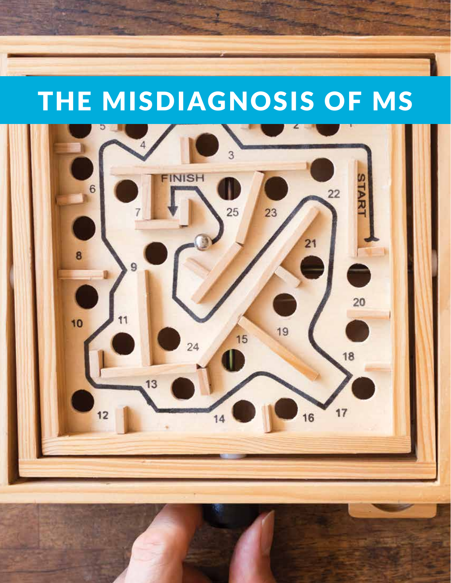# THE MISDIAGNOSIS OF MS

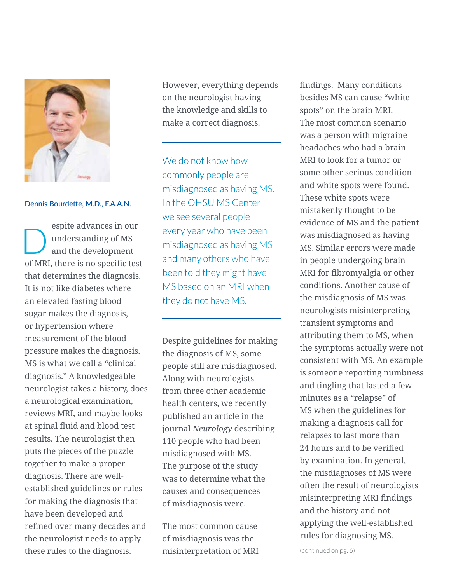

#### **Dennis Bourdette, M.D., F.A.A.N.**

espite advances in our<br>
understanding of MS<br>
and the development understanding of MS of MRI, there is no specific test that determines the diagnosis. It is not like diabetes where an elevated fasting blood sugar makes the diagnosis, or hypertension where measurement of the blood pressure makes the diagnosis. MS is what we call a "clinical diagnosis." A knowledgeable neurologist takes a history, does a neurological examination, reviews MRI, and maybe looks at spinal fluid and blood test results. The neurologist then puts the pieces of the puzzle together to make a proper diagnosis. There are wellestablished guidelines or rules for making the diagnosis that have been developed and refined over many decades and the neurologist needs to apply these rules to the diagnosis.

However, everything depends on the neurologist having the knowledge and skills to make a correct diagnosis.

We do not know how commonly people are misdiagnosed as having MS. In the OHSU MS Center we see several people every year who have been misdiagnosed as having MS and many others who have been told they might have MS based on an MRI when they do not have MS.

Despite guidelines for making the diagnosis of MS, some people still are misdiagnosed. Along with neurologists from three other academic health centers, we recently published an article in the journal *Neurology* describing 110 people who had been misdiagnosed with MS. The purpose of the study was to determine what the causes and consequences of misdiagnosis were.

The most common cause of misdiagnosis was the misinterpretation of MRI findings. Many conditions besides MS can cause "white spots" on the brain MRI. The most common scenario was a person with migraine headaches who had a brain MRI to look for a tumor or some other serious condition and white spots were found. These white spots were mistakenly thought to be evidence of MS and the patient was misdiagnosed as having MS. Similar errors were made in people undergoing brain MRI for fibromyalgia or other conditions. Another cause of the misdiagnosis of MS was neurologists misinterpreting transient symptoms and attributing them to MS, when the symptoms actually were not consistent with MS. An example is someone reporting numbness and tingling that lasted a few minutes as a "relapse" of MS when the guidelines for making a diagnosis call for relapses to last more than 24 hours and to be verified by examination. In general, the misdiagnoses of MS were often the result of neurologists misinterpreting MRI findings and the history and not applying the well-established rules for diagnosing MS.

(continued on pg. 6)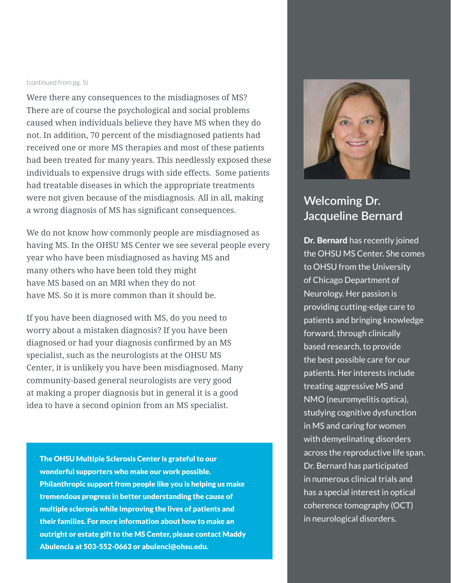#### (continued from pg. 5)

Were there any consequences to the misdiagnoses of MS? There are of course the psychological and social problems caused when individuals believe they have MS when they do not. In addition, 70 percent of the misdiagnosed patients had received one or more MS therapies and most of these patients had been treated for many years. This needlessly exposed these individuals to expensive drugs with side effects. Some patients had treatable diseases in which the appropriate treatments were not given because of the misdiagnosis. All in all, making a wrong diagnosis of MS has significant consequences.

We do not know how commonly people are misdiagnosed as having MS. In the OHSU MS Center we see several people every year who have been misdiagnosed as having MS and many others who have been told they might have MS based on an MRI when they do not have MS. So it is more common than it should be.

If you have been diagnosed with MS, do you need to worry about a mistaken diagnosis? If you have been diagnosed or had your diagnosis confirmed by an MS specialist, such as the neurologists at the OHSU MS Center, it is unlikely you have been misdiagnosed. Many community-based general neurologists are very good at making a proper diagnosis but in general it is a good idea to have a second opinion from an MS specialist.

The OHSU Multiple Sclerosis Center is grateful to our wonderful supporters who make our work possible. Philanthropic support from people like you is helping us make tremendous progress in better understanding the cause of multiple sclerosis while improving the lives of patients and their families. For more information about how to make an outright or estate gift to the MS Center, please contact Maddy Abulencia at 503-552-0663 or abulenci@ohsu.edu.



### **Welcoming Dr. Jacqueline Bernard**

Dr. Bernard has recently joined the OHSU MS Center. She comes to OHSU from the University of Chicago Department of Neurology. Her passion is providing cutting-edge care to patients and bringing knowledge forward, through clinically based research, to provide the best possible care for our patients. Her interests include treating aggressive MS and NMO (neuromyelitis optica), studying cognitive dysfunction in MS and caring for women with demyelinating disorders across the reproductive life span. Dr. Bernard has participated in numerous clinical trials and has a special interest in optical coherence tomography (OCT) in neurological disorders.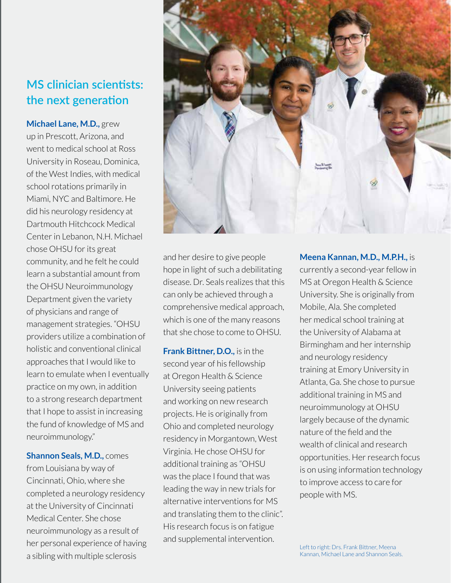## **MS clinician scientists: the next generation**

**Michael Lane, M.D.,** grew up in Prescott, Arizona, and went to medical school at Ross University in Roseau, Dominica, of the West Indies, with medical school rotations primarily in Miami, NYC and Baltimore. He did his neurology residency at Dartmouth Hitchcock Medical Center in Lebanon, N.H. Michael chose OHSU for its great community, and he felt he could learn a substantial amount from the OHSU Neuroimmunology Department given the variety of physicians and range of management strategies. "OHSU providers utilize a combination of holistic and conventional clinical approaches that I would like to learn to emulate when I eventually practice on my own, in addition to a strong research department that I hope to assist in increasing the fund of knowledge of MS and neuroimmunology."

**Shannon Seals, M.D.,** comes from Louisiana by way of Cincinnati, Ohio, where she completed a neurology residency at the University of Cincinnati Medical Center. She chose neuroimmunology as a result of her personal experience of having a sibling with multiple sclerosis



and her desire to give people hope in light of such a debilitating disease. Dr. Seals realizes that this can only be achieved through a comprehensive medical approach, which is one of the many reasons that she chose to come to OHSU.

**Frank Bittner, D.O.,** is in the second year of his fellowship at Oregon Health & Science University seeing patients and working on new research projects. He is originally from Ohio and completed neurology residency in Morgantown, West Virginia. He chose OHSU for additional training as "OHSU was the place I found that was leading the way in new trials for alternative interventions for MS and translating them to the clinic". His research focus is on fatigue and supplemental intervention.

**Meena Kannan, M.D., M.P.H.,** is

currently a second-year fellow in MS at Oregon Health & Science University. She is originally from Mobile, Ala. She completed her medical school training at the University of Alabama at Birmingham and her internship and neurology residency training at Emory University in Atlanta, Ga. She chose to pursue additional training in MS and neuroimmunology at OHSU largely because of the dynamic nature of the field and the wealth of clinical and research opportunities. Her research focus is on using information technology to improve access to care for people with MS.

Left to right: Drs. Frank Bittner, Meena Kannan, Michael Lane and Shannon Seals.